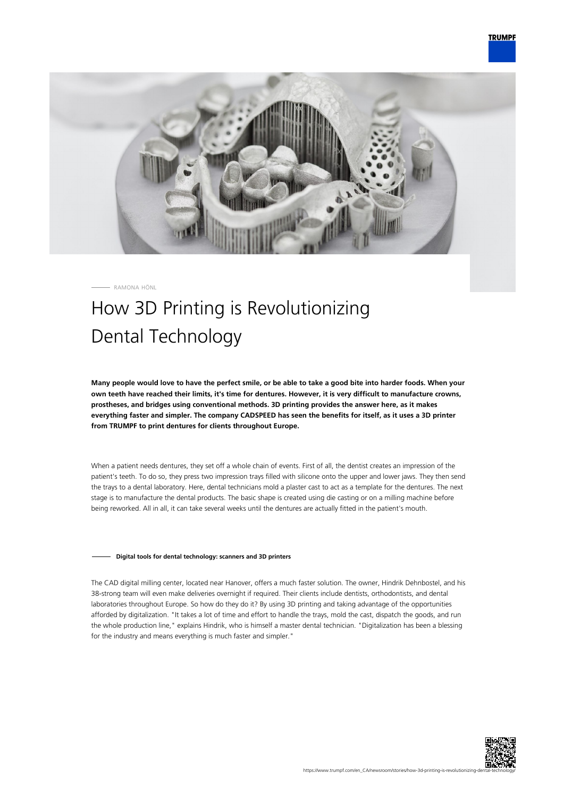

RAMONA HÖNL

# How 3D Printing is Revolutionizing Dental Technology

**Many people would love to have the perfect smile, or be able to take a good bite into harder foods. When your own teeth have reached their limits, it's time for dentures. However, it is very difficult to manufacture crowns, prostheses, and bridges using conventional methods. 3D printing provides the answer here, as it makes everything faster and simpler. The company CADSPEED has seen the benefits for itself, as it uses a 3D printer from TRUMPF to print dentures for clients throughout Europe.**

When a patient needs dentures, they set off a whole chain of events. First of all, the dentist creates an impression of the patient's teeth. To do so, they press two impression trays filled with silicone onto the upper and lower jaws. They then send the trays to a dental laboratory. Here, dental technicians mold a plaster cast to act as a template for the dentures. The next stage is to manufacture the dental products. The basic shape is created using die casting or on a milling machine before being reworked. All in all, it can take several weeks until the dentures are actually fitted in the patient's mouth.

### **Digital tools for dental technology: scanners and 3D printers**

The CAD digital milling center, located near Hanover, offers a much faster solution. The owner, Hindrik Dehnbostel, and his 38-strong team will even make deliveries overnight if required. Their clients include dentists, orthodontists, and dental laboratories throughout Europe. So how do they do it? By using 3D printing and taking advantage of the opportunities afforded by digitalization. "It takes a lot of time and effort to handle the trays, mold the cast, dispatch the goods, and run the whole production line," explains Hindrik, who is himself a master dental technician. "Digitalization has been a blessing for the industry and means everything is much faster and simpler."

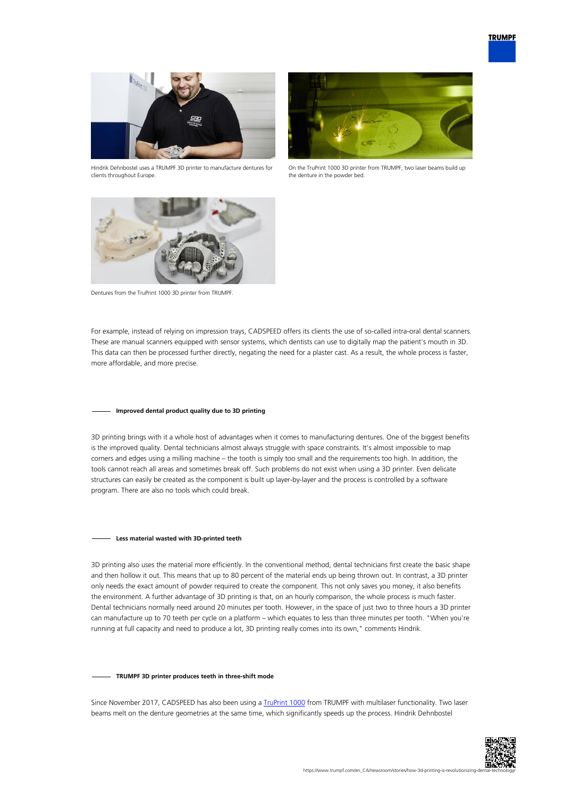

Hindrik Dehnbostel uses a TRUMPF 3D printer to manufacture dentures for clients throughout Europe.



On the TruPrint 1000 3D printer from TRUMPF, two laser beams build up the denture in the powder bed.



Dentures from the TruPrint 1000 3D printer from TRUMPF.

For example, instead of relying on impression trays, CADSPEED offers its clients the use of so-called intra-oral dental scanners. These are manual scanners equipped with sensor systems, which dentists can use to digitally map the patient's mouth in 3D. This data can then be processed further directly, negating the need for a plaster cast. As a result, the whole process is faster, more affordable, and more precise.

### **Improved dental product quality due to 3D printing**

3D printing brings with it a whole host of advantages when it comes to manufacturing dentures. One of the biggest benefits is the improved quality. Dental technicians almost always struggle with space constraints. It's almost impossible to map corners and edges using a milling machine – the tooth is simply too small and the requirements too high. In addition, the tools cannot reach all areas and sometimes break off. Such problems do not exist when using a 3D printer. Even delicate structures can easily be created as the component is built up layer-by-layer and the process is controlled by a software program. There are also no tools which could break.

#### **Less material wasted with 3D-printed teeth**

3D printing also uses the material more efficiently. In the conventional method, dental technicians first create the basic shape and then hollow it out. This means that up to 80 percent of the material ends up being thrown out. In contrast, a 3D printer only needs the exact amount of powder required to create the component. This not only saves you money, it also benefits the environment. A further advantage of 3D printing is that, on an hourly comparison, the whole process is much faster. Dental technicians normally need around 20 minutes per tooth. However, in the space of just two to three hours a 3D printer can manufacture up to 70 teeth per cycle on a platform – which equates to less than three minutes per tooth. "When you're running at full capacity and need to produce a lot, 3D printing really comes into its own," comments Hindrik.

#### **TRUMPF 3D printer produces teeth in three-shift mode**

Since November 2017, CADSPEED has also been using a [TruPrint 1000](https://www.trumpf.com/en_CA/products/machines-systems/additive-production-systems/truprint-1000/) from TRUMPF with multilaser functionality. Two laser beams melt on the denture geometries at the same time, which significantly speeds up the process. Hindrik Dehnbostel